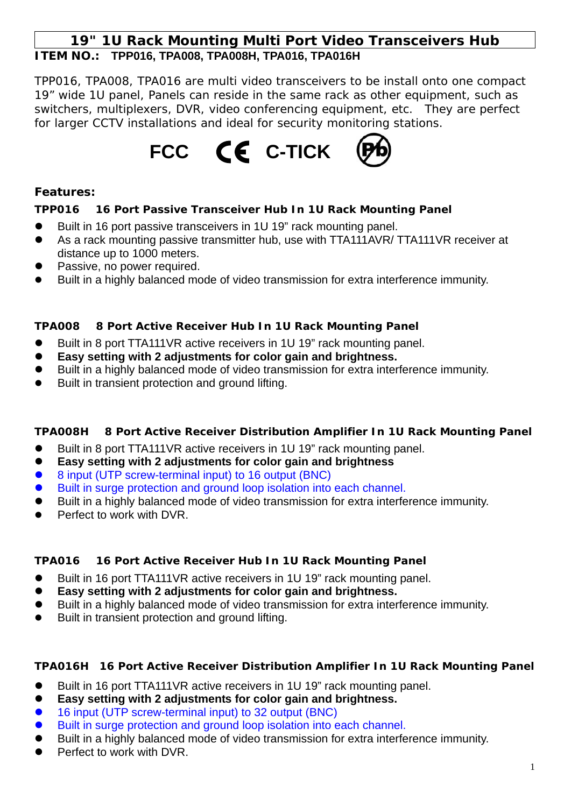# **19" 1U Rack Mounting Multi Port Video Transceivers Hub ITEM NO.: TPP016, TPA008, TPA008H, TPA016, TPA016H**

TPP016, TPA008, TPA016 are multi video transceivers to be install onto one compact 19" wide 1U panel, Panels can reside in the same rack as other equipment, such as switchers, multiplexers, DVR, video conferencing equipment, etc. They are perfect for larger CCTV installations and ideal for security monitoring stations.



### **Features:**

## **TPP016 16 Port Passive Transceiver Hub In 1U Rack Mounting Panel**

- Built in 16 port passive transceivers in 1U 19" rack mounting panel.
- As a rack mounting passive transmitter hub, use with TTA111AVR/ TTA111VR receiver at distance up to 1000 meters.
- Passive, no power required.
- Built in a highly balanced mode of video transmission for extra interference immunity.

## **TPA008 8 Port Active Receiver Hub In 1U Rack Mounting Panel**

- Built in 8 port TTA111VR active receivers in 1U 19" rack mounting panel.
- Easy setting with 2 adjustments for color gain and brightness.
- Built in a highly balanced mode of video transmission for extra interference immunity.
- Built in transient protection and ground lifting.

# **TPA008H 8 Port Active Receiver Distribution Amplifier In 1U Rack Mounting Panel**

- Built in 8 port TTA111VR active receivers in 1U 19" rack mounting panel.
- z **Easy setting with 2 adjustments for color gain and brightness**
- 8 input (UTP screw-terminal input) to 16 output (BNC)
- Built in surge protection and ground loop isolation into each channel.
- Built in a highly balanced mode of video transmission for extra interference immunity.
- Perfect to work with DVR.

# **TPA016 16 Port Active Receiver Hub In 1U Rack Mounting Panel**

- Built in 16 port TTA111VR active receivers in 1U 19" rack mounting panel.
- Easy setting with 2 adjustments for color gain and brightness.
- Built in a highly balanced mode of video transmission for extra interference immunity.
- Built in transient protection and ground lifting.

### **TPA016H 16 Port Active Receiver Distribution Amplifier In 1U Rack Mounting Panel**

- Built in 16 port TTA111VR active receivers in 1U 19" rack mounting panel.
- z **Easy setting with 2 adjustments for color gain and brightness.**
- 16 input (UTP screw-terminal input) to 32 output (BNC)
- Built in surge protection and ground loop isolation into each channel.
- Built in a highly balanced mode of video transmission for extra interference immunity.
- Perfect to work with DVR.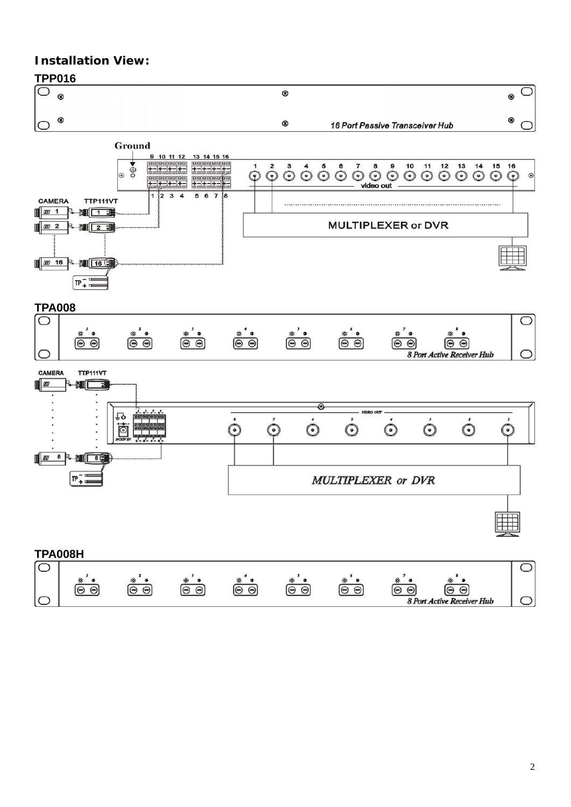# **Installation View:**

O



C

8 Port Active Receiver Hub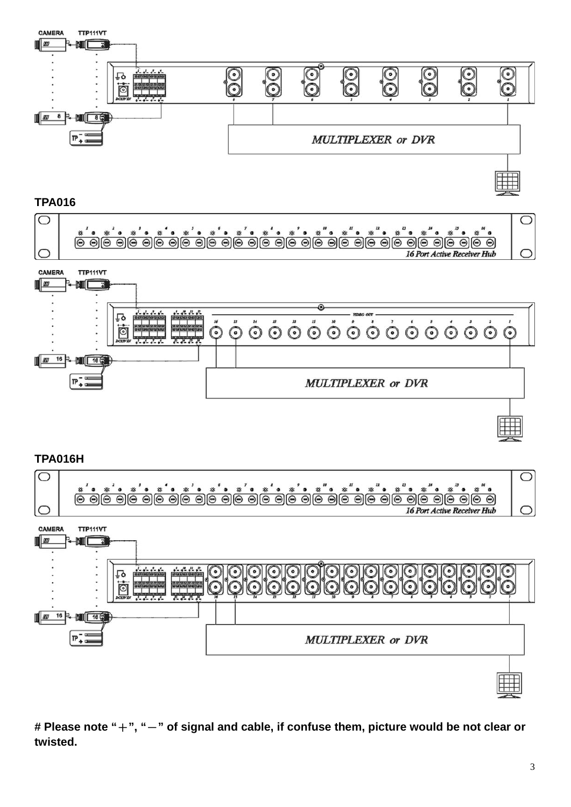

**TPA016** 





**TPA016H** 



**# Please note "**+**", "**-**" of signal and cable, if confuse them, picture would be not clear or twisted.**